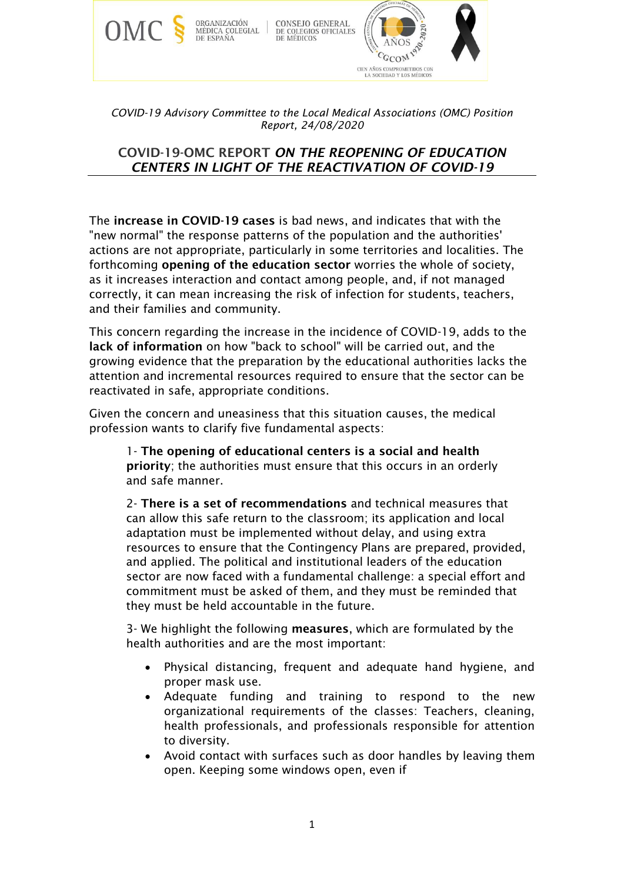

*COVID-19 Advisory Committee to the Local Medical Associations (OMC) Position Report, 24/08/2020*

# COVID-19-OMC REPORT *ON THE REOPENING OF EDUCATION CENTERS IN LIGHT OF THE REACTIVATION OF COVID-19*

The increase in COVID-19 cases is bad news, and indicates that with the "new normal" the response patterns of the population and the authorities' actions are not appropriate, particularly in some territories and localities. The forthcoming opening of the education sector worries the whole of society, as it increases interaction and contact among people, and, if not managed correctly, it can mean increasing the risk of infection for students, teachers, and their families and community.

This concern regarding the increase in the incidence of COVID-19, adds to the lack of information on how "back to school" will be carried out, and the growing evidence that the preparation by the educational authorities lacks the attention and incremental resources required to ensure that the sector can be reactivated in safe, appropriate conditions.

Given the concern and uneasiness that this situation causes, the medical profession wants to clarify five fundamental aspects:

1- The opening of educational centers is a social and health priority; the authorities must ensure that this occurs in an orderly and safe manner.

2- There is a set of recommendations and technical measures that can allow this safe return to the classroom; its application and local adaptation must be implemented without delay, and using extra resources to ensure that the Contingency Plans are prepared, provided, and applied. The political and institutional leaders of the education sector are now faced with a fundamental challenge: a special effort and commitment must be asked of them, and they must be reminded that they must be held accountable in the future.

3- We highlight the following measures, which are formulated by the health authorities and are the most important:

- Physical distancing, frequent and adequate hand hygiene, and proper mask use.
- Adequate funding and training to respond to the new organizational requirements of the classes: Teachers, cleaning, health professionals, and professionals responsible for attention to diversity.
- Avoid contact with surfaces such as door handles by leaving them open. Keeping some windows open, even if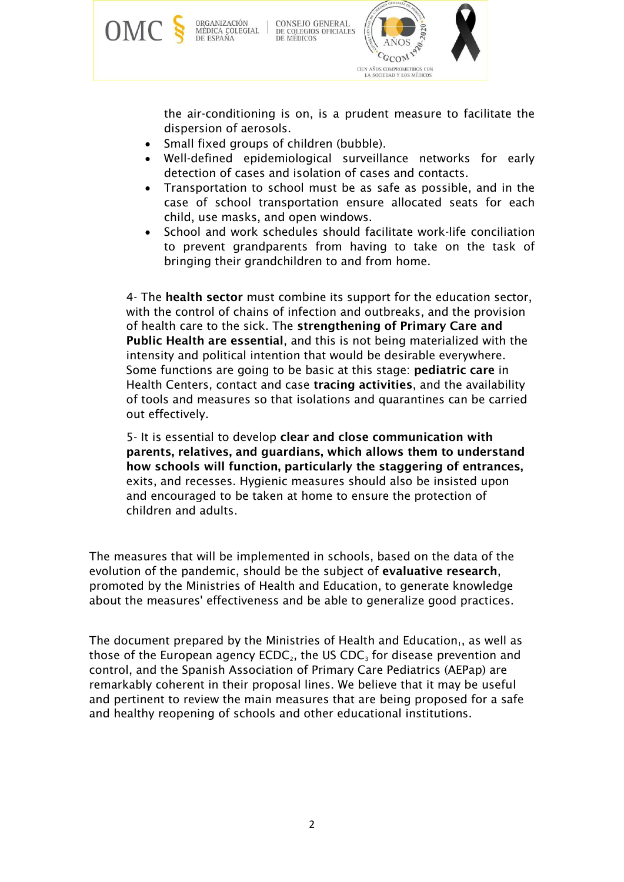

the air-conditioning is on, is a prudent measure to facilitate the dispersion of aerosols.

- Small fixed groups of children (bubble).
- Well-defined epidemiological surveillance networks for early detection of cases and isolation of cases and contacts.
- Transportation to school must be as safe as possible, and in the case of school transportation ensure allocated seats for each child, use masks, and open windows.
- School and work schedules should facilitate work-life conciliation to prevent grandparents from having to take on the task of bringing their grandchildren to and from home.

4- The health sector must combine its support for the education sector, with the control of chains of infection and outbreaks, and the provision of health care to the sick. The strengthening of Primary Care and Public Health are essential, and this is not being materialized with the intensity and political intention that would be desirable everywhere. Some functions are going to be basic at this stage: pediatric care in Health Centers, contact and case tracing activities, and the availability of tools and measures so that isolations and quarantines can be carried out effectively.

5- It is essential to develop clear and close communication with parents, relatives, and guardians, which allows them to understand how schools will function, particularly the staggering of entrances, exits, and recesses. Hygienic measures should also be insisted upon and encouraged to be taken at home to ensure the protection of children and adults.

The measures that will be implemented in schools, based on the data of the evolution of the pandemic, should be the subject of evaluative research, promoted by the Ministries of Health and Education, to generate knowledge about the measures' effectiveness and be able to generalize good practices.

The document prepared by the Ministries of Health and Education, as well as those of the European agency  $ECDC<sub>2</sub>$ , the US  $CDC<sub>3</sub>$  for disease prevention and control, and the Spanish Association of Primary Care Pediatrics (AEPap) are remarkably coherent in their proposal lines. We believe that it may be useful and pertinent to review the main measures that are being proposed for a safe and healthy reopening of schools and other educational institutions.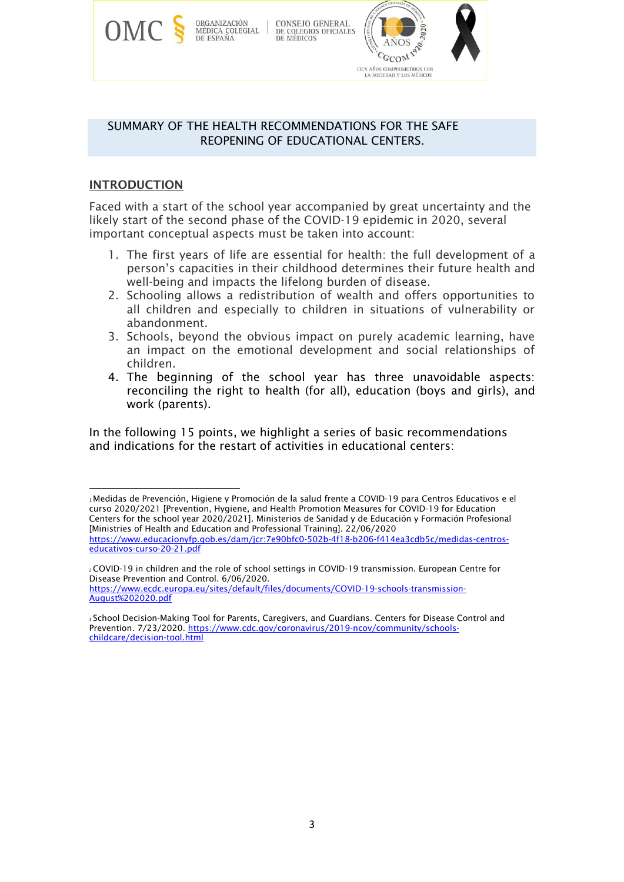

## SUMMARY OF THE HEALTH RECOMMENDATIONS FOR THE SAFE REOPENING OF EDUCATIONAL CENTERS.

# INTRODUCTION

Faced with a start of the school year accompanied by great uncertainty and the likely start of the second phase of the COVID-19 epidemic in 2020, several important conceptual aspects must be taken into account:

- 1. The first years of life are essential for health: the full development of a person's capacities in their childhood determines their future health and well-being and impacts the lifelong burden of disease.
- 2. Schooling allows a redistribution of wealth and offers opportunities to all children and especially to children in situations of vulnerability or abandonment.
- 3. Schools, beyond the obvious impact on purely academic learning, have an impact on the emotional development and social relationships of children.
- 4. The beginning of the school year has three unavoidable aspects: reconciling the right to health (for all), education (boys and girls), and work (parents).

In the following 15 points, we highlight a series of basic recommendations and indications for the restart of activities in educational centers:

<sup>1</sup>Medidas de Prevención, Higiene y Promoción de la salud frente a COVID-19 para Centros Educativos e el curso 2020/2021 [Prevention, Hygiene, and Health Promotion Measures for COVID-19 for Education Centers for the school year 2020/2021]. Ministerios de Sanidad y de Educación y Formación Profesional [Ministries of Health and Education and Professional Training]. 22/06/2020 https://www.educacionyfp.gob.es/dam/jcr:7e90bfc0-502b-4f18-b206-f414ea3cdb5c/medidas-centroseducativos-curso-20-21.pdf

<sup>2</sup>COVID-19 in children and the role of school settings in COVID-19 transmission. European Centre for Disease Prevention and Control. 6/06/2020. [https://www.ecdc.europa.eu/sites/default/files/documents/COVID-19-schools-transmission-](https://www.ecdc.europa.eu/sites/default/files/documents/COVID-19-schools-transmission-August%202020.pdf)[August%202020.pdf](https://www.ecdc.europa.eu/sites/default/files/documents/COVID-19-schools-transmission-August%202020.pdf)

<sup>3</sup>School Decision-Making Tool for Parents, Caregivers, and Guardians. Centers for Disease Control and Prevention. 7/23/2020. [https://www.cdc.gov/coronavirus/2019-ncov/community/schools](https://www.cdc.gov/coronavirus/2019-ncov/community/schools-childcare/decision-tool.html)[childcare/decision-tool.html](https://www.cdc.gov/coronavirus/2019-ncov/community/schools-childcare/decision-tool.html)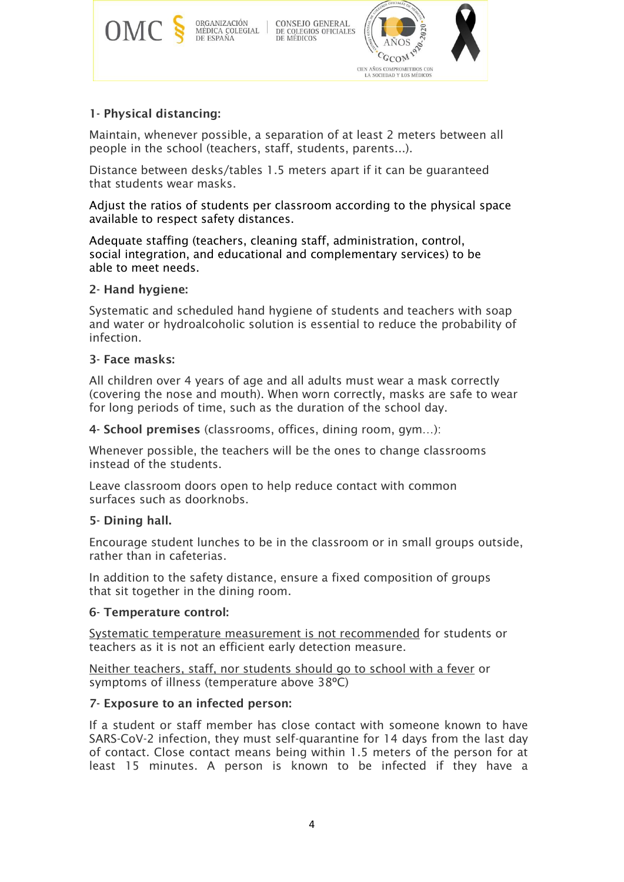

# 1- Physical distancing:

Maintain, whenever possible, a separation of at least 2 meters between all people in the school (teachers, staff, students, parents...).

Distance between desks/tables 1.5 meters apart if it can be guaranteed that students wear masks.

Adjust the ratios of students per classroom according to the physical space available to respect safety distances.

Adequate staffing (teachers, cleaning staff, administration, control, social integration, and educational and complementary services) to be able to meet needs.

## 2- Hand hygiene:

Systematic and scheduled hand hygiene of students and teachers with soap and water or hydroalcoholic solution is essential to reduce the probability of infection.

## 3- Face masks:

All children over 4 years of age and all adults must wear a mask correctly (covering the nose and mouth). When worn correctly, masks are safe to wear for long periods of time, such as the duration of the school day.

4- School premises (classrooms, offices, dining room, gym…):

Whenever possible, the teachers will be the ones to change classrooms instead of the students.

Leave classroom doors open to help reduce contact with common surfaces such as doorknobs.

# 5- Dining hall.

Encourage student lunches to be in the classroom or in small groups outside, rather than in cafeterias.

In addition to the safety distance, ensure a fixed composition of groups that sit together in the dining room.

### 6- Temperature control:

Systematic temperature measurement is not recommended for students or teachers as it is not an efficient early detection measure.

Neither teachers, staff, nor students should go to school with a fever or symptoms of illness (temperature above 38ºC)

### 7- Exposure to an infected person:

If a student or staff member has close contact with someone known to have SARS-CoV-2 infection, they must self-quarantine for 14 days from the last day of contact. Close contact means being within 1.5 meters of the person for at least 15 minutes. A person is known to be infected if they have a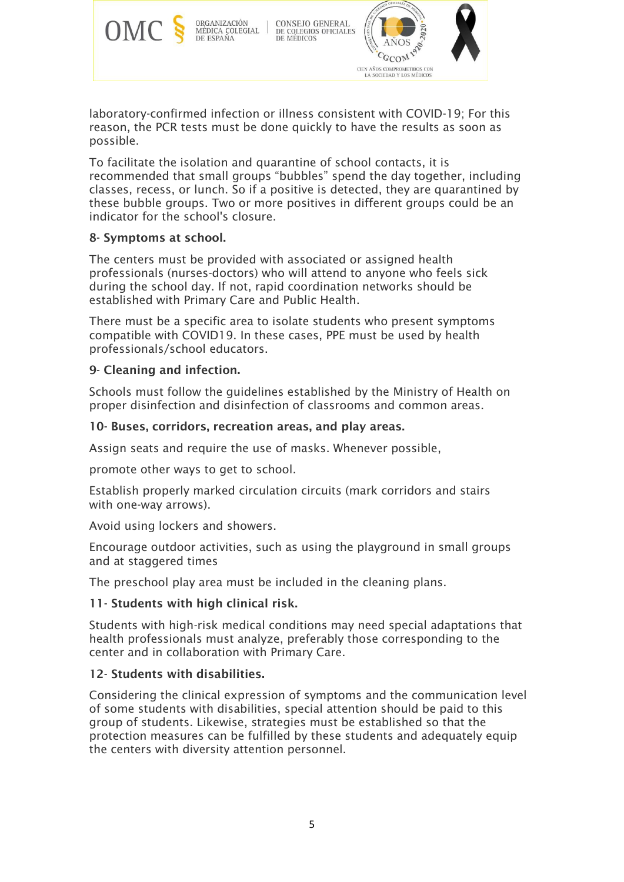

laboratory-confirmed infection or illness consistent with COVID-19; For this reason, the PCR tests must be done quickly to have the results as soon as possible.

To facilitate the isolation and quarantine of school contacts, it is recommended that small groups "bubbles" spend the day together, including classes, recess, or lunch. So if a positive is detected, they are quarantined by these bubble groups. Two or more positives in different groups could be an indicator for the school's closure.

# 8- Symptoms at school.

The centers must be provided with associated or assigned health professionals (nurses-doctors) who will attend to anyone who feels sick during the school day. If not, rapid coordination networks should be established with Primary Care and Public Health.

There must be a specific area to isolate students who present symptoms compatible with COVID19. In these cases, PPE must be used by health professionals/school educators.

## 9- Cleaning and infection.

Schools must follow the guidelines established by the Ministry of Health on proper disinfection and disinfection of classrooms and common areas.

## 10- Buses, corridors, recreation areas, and play areas.

Assign seats and require the use of masks. Whenever possible,

promote other ways to get to school.

Establish properly marked circulation circuits (mark corridors and stairs with one-way arrows).

Avoid using lockers and showers.

Encourage outdoor activities, such as using the playground in small groups and at staggered times

The preschool play area must be included in the cleaning plans.

### 11- Students with high clinical risk.

Students with high-risk medical conditions may need special adaptations that health professionals must analyze, preferably those corresponding to the center and in collaboration with Primary Care.

### 12- Students with disabilities.

Considering the clinical expression of symptoms and the communication level of some students with disabilities, special attention should be paid to this group of students. Likewise, strategies must be established so that the protection measures can be fulfilled by these students and adequately equip the centers with diversity attention personnel.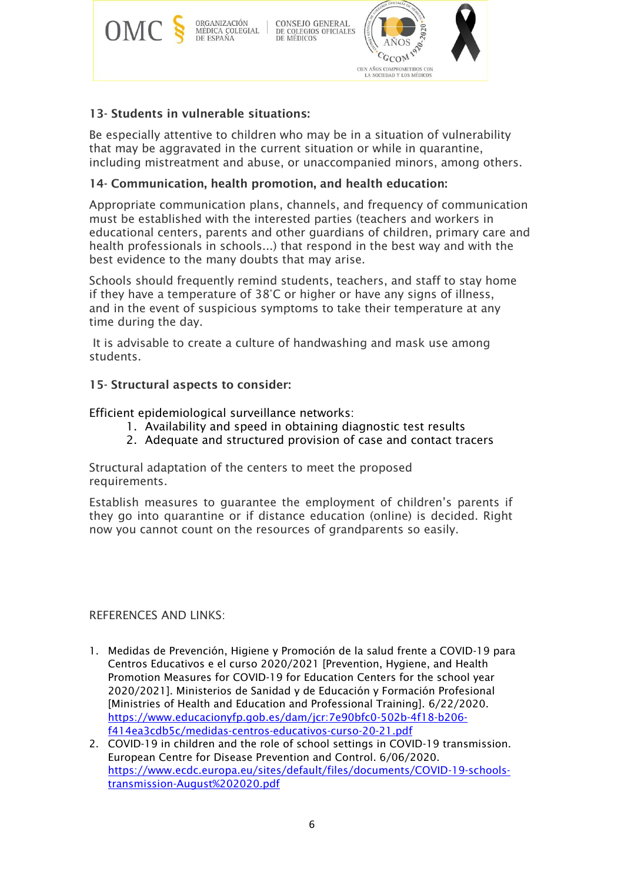

# 13- Students in vulnerable situations:

Be especially attentive to children who may be in a situation of vulnerability that may be aggravated in the current situation or while in quarantine, including mistreatment and abuse, or unaccompanied minors, among others.

# 14- Communication, health promotion, and health education:

Appropriate communication plans, channels, and frequency of communication must be established with the interested parties (teachers and workers in educational centers, parents and other guardians of children, primary care and health professionals in schools...) that respond in the best way and with the best evidence to the many doubts that may arise.

Schools should frequently remind students, teachers, and staff to stay home if they have a temperature of 38°C or higher or have any signs of illness, and in the event of suspicious symptoms to take their temperature at any time during the day.

It is advisable to create a culture of handwashing and mask use among students.

## 15- Structural aspects to consider:

Efficient epidemiological surveillance networks:

- 1. Availability and speed in obtaining diagnostic test results
- 2. Adequate and structured provision of case and contact tracers

Structural adaptation of the centers to meet the proposed requirements.

Establish measures to guarantee the employment of children's parents if they go into quarantine or if distance education (online) is decided. Right now you cannot count on the resources of grandparents so easily.

### REFERENCES AND LINKS:

- 1. Medidas de Prevención, Higiene y Promoción de la salud frente a COVID-19 para Centros Educativos e el curso 2020/2021 [Prevention, Hygiene, and Health Promotion Measures for COVID-19 for Education Centers for the school year 2020/2021]. Ministerios de Sanidad y de Educación y Formación Profesional [Ministries of Health and Education and Professional Training]. 6/22/2020. https://www.educacionyfp.gob.es/dam/jcr:7e90bfc0-502b-4f18-b206 f414ea3cdb5c/medidas-centros-educativos-curso-20-21.pdf
- 2. COVID-19 in children and the role of school settings in COVID-19 transmission. European Centre for Disease Prevention and Control. 6/06/2020. [https://www.ecdc.europa.eu/sites/default/files/documents/COVID-19-schools](https://www.ecdc.europa.eu/sites/default/files/documents/COVID-19-schools-transmission-August%202020.pdf)[transmission-August%202020.pdf](https://www.ecdc.europa.eu/sites/default/files/documents/COVID-19-schools-transmission-August%202020.pdf)